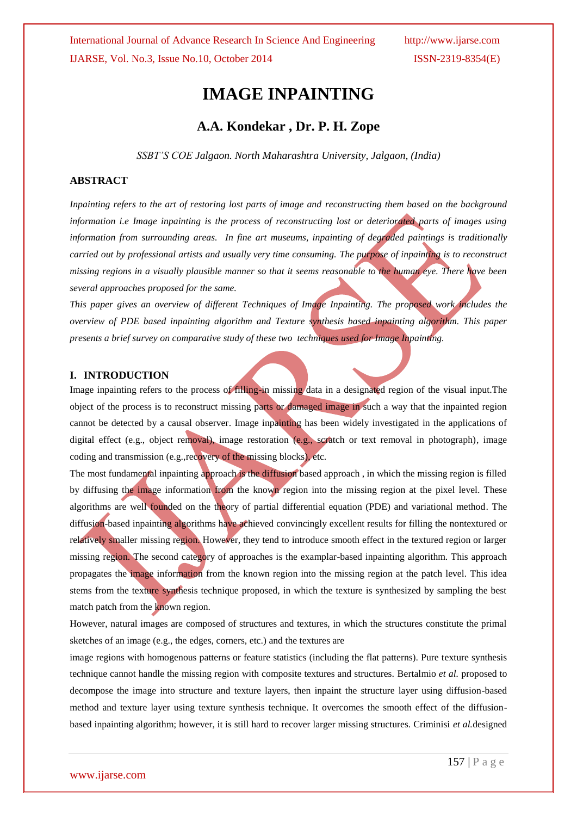# **IMAGE INPAINTING**

## **A.A. Kondekar , Dr. P. H. Zope**

*SSBT'S COE Jalgaon. North Maharashtra University, Jalgaon, (India)*

## **ABSTRACT**

*Inpainting refers to the art of restoring lost parts of image and reconstructing them based on the background information i.e Image inpainting is the process of reconstructing lost or deteriorated parts of images using information from surrounding areas. In fine art museums, inpainting of degraded paintings is traditionally carried out by professional artists and usually very time consuming. The purpose of inpainting is to reconstruct missing regions in a visually plausible manner so that it seems reasonable to the human eye. There have been several approaches proposed for the same.* 

*This paper gives an overview of different Techniques of Image Inpainting. The proposed work includes the overview of PDE based inpainting algorithm and Texture synthesis based inpainting algorithm. This paper presents a brief survey on comparative study of these two techniques used for Image Inpainting.*

## **I. INTRODUCTION**

Image inpainting refers to the process of filling-in missing data in a designated region of the visual input.The object of the process is to reconstruct missing parts or damaged image in such a way that the inpainted region cannot be detected by a causal observer. Image inpainting has been widely investigated in the applications of digital effect (e.g., object removal), image restoration (e.g., scratch or text removal in photograph), image coding and transmission (e.g.,recovery of the missing blocks), etc.

The most fundamental inpainting approach is the diffusion based approach , in which the missing region is filled by diffusing the image information from the known region into the missing region at the pixel level. These algorithms are well founded on the theory of partial differential equation (PDE) and variational method. The diffusion-based inpainting algorithms have achieved convincingly excellent results for filling the nontextured or relatively smaller missing region. However, they tend to introduce smooth effect in the textured region or larger missing region. The second category of approaches is the examplar-based inpainting algorithm. This approach propagates the image information from the known region into the missing region at the patch level. This idea stems from the texture synthesis technique proposed, in which the texture is synthesized by sampling the best match patch from the known region.

However, natural images are composed of structures and textures, in which the structures constitute the primal sketches of an image (e.g., the edges, corners, etc.) and the textures are

image regions with homogenous patterns or feature statistics (including the flat patterns). Pure texture synthesis technique cannot handle the missing region with composite textures and structures. Bertalmio *et al.* proposed to decompose the image into structure and texture layers, then inpaint the structure layer using diffusion-based method and texture layer using texture synthesis technique. It overcomes the smooth effect of the diffusionbased inpainting algorithm; however, it is still hard to recover larger missing structures. Criminisi *et al.*designed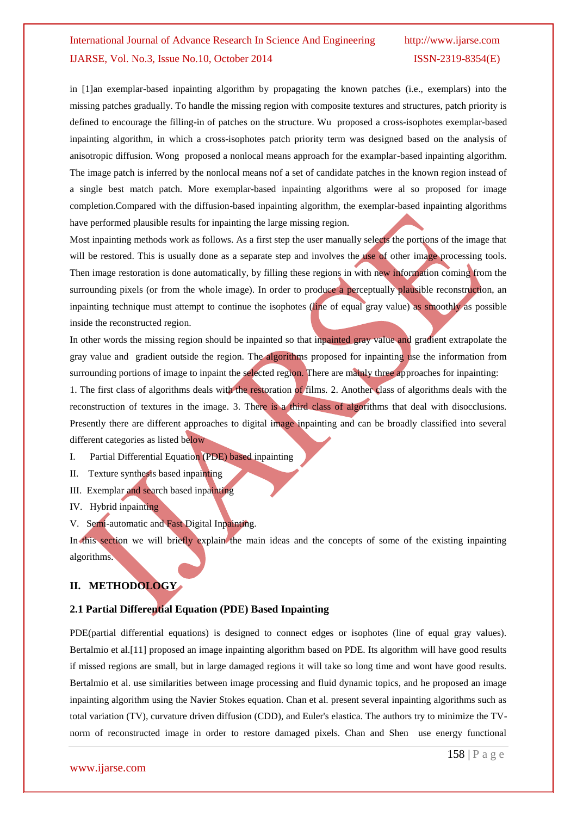in [1]an exemplar-based inpainting algorithm by propagating the known patches (i.e., exemplars) into the missing patches gradually. To handle the missing region with composite textures and structures, patch priority is defined to encourage the filling-in of patches on the structure. Wu proposed a cross-isophotes exemplar-based inpainting algorithm, in which a cross-isophotes patch priority term was designed based on the analysis of anisotropic diffusion. Wong proposed a nonlocal means approach for the examplar-based inpainting algorithm. The image patch is inferred by the nonlocal means nof a set of candidate patches in the known region instead of a single best match patch. More exemplar-based inpainting algorithms were al so proposed for image completion.Compared with the diffusion-based inpainting algorithm, the exemplar-based inpainting algorithms have performed plausible results for inpainting the large missing region.

Most inpainting methods work as follows. As a first step the user manually selects the portions of the image that will be restored. This is usually done as a separate step and involves the use of other image processing tools. Then image restoration is done automatically, by filling these regions in with new information coming from the surrounding pixels (or from the whole image). In order to produce a perceptually plausible reconstruction, an inpainting technique must attempt to continue the isophotes (line of equal gray value) as smoothly as possible inside the reconstructed region.

In other words the missing region should be inpainted so that inpainted gray value and gradient extrapolate the gray value and gradient outside the region. The algorithms proposed for inpainting use the information from surrounding portions of image to inpaint the selected region. There are mainly three approaches for inpainting: 1. The first class of algorithms deals with the restoration of films. 2. Another class of algorithms deals with the reconstruction of textures in the image. 3. There is a third class of algorithms that deal with disocclusions. Presently there are different approaches to digital image inpainting and can be broadly classified into several different categories as listed below

I. Partial Differential Equation (PDE) based inpainting

- II. Texture synthesis based inpainting
- III. Exemplar and search based inpainting
- IV. Hybrid inpainting
- V. Semi-automatic and Fast Digital Inpainting.

In this section we will briefly explain the main ideas and the concepts of some of the existing inpainting algorithms.

## **II. METHODOLOGY**

#### **2.1 Partial Differential Equation (PDE) Based Inpainting**

PDE(partial differential equations) is designed to connect edges or isophotes (line of equal gray values). Bertalmio et al.[11] proposed an image inpainting algorithm based on PDE. Its algorithm will have good results if missed regions are small, but in large damaged regions it will take so long time and wont have good results. Bertalmio et al. use similarities between image processing and fluid dynamic topics, and he proposed an image inpainting algorithm using the Navier Stokes equation. Chan et al. present several inpainting algorithms such as total variation (TV), curvature driven diffusion (CDD), and Euler's elastica. The authors try to minimize the TVnorm of reconstructed image in order to restore damaged pixels. Chan and Shen use energy functional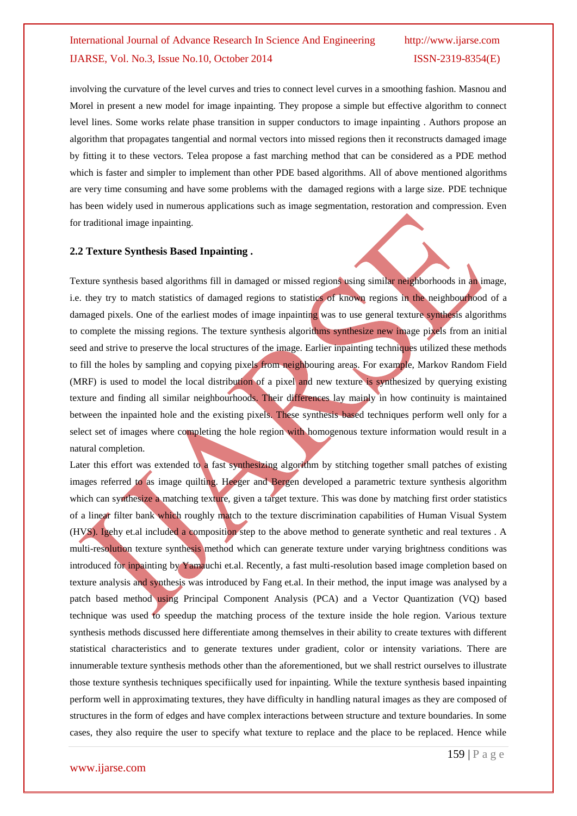involving the curvature of the level curves and tries to connect level curves in a smoothing fashion. Masnou and Morel in present a new model for image inpainting. They propose a simple but effective algorithm to connect level lines. Some works relate phase transition in supper conductors to image inpainting . Authors propose an algorithm that propagates tangential and normal vectors into missed regions then it reconstructs damaged image by fitting it to these vectors. Telea propose a fast marching method that can be considered as a PDE method which is faster and simpler to implement than other PDE based algorithms. All of above mentioned algorithms are very time consuming and have some problems with the damaged regions with a large size. PDE technique has been widely used in numerous applications such as image segmentation, restoration and compression. Even for traditional image inpainting.

#### **2.2 Texture Synthesis Based Inpainting .**

Texture synthesis based algorithms fill in damaged or missed regions using similar neighborhoods in an image, i.e. they try to match statistics of damaged regions to statistics of known regions in the neighbourhood of a damaged pixels. One of the earliest modes of image inpainting was to use general texture synthesis algorithms to complete the missing regions. The texture synthesis algorithms synthesize new image pixels from an initial seed and strive to preserve the local structures of the image. Earlier inpainting techniques utilized these methods to fill the holes by sampling and copying pixels from neighbouring areas. For example, Markov Random Field (MRF) is used to model the local distribution of a pixel and new texture is synthesized by querying existing texture and finding all similar neighbourhoods. Their differences lay mainly in how continuity is maintained between the inpainted hole and the existing pixels. These synthesis based techniques perform well only for a select set of images where completing the hole region with homogenous texture information would result in a natural completion.

Later this effort was extended to a fast synthesizing algorithm by stitching together small patches of existing images referred to as image quilting. Heeger and Bergen developed a parametric texture synthesis algorithm which can synthesize a matching texture, given a target texture. This was done by matching first order statistics of a linear filter bank which roughly match to the texture discrimination capabilities of Human Visual System (HVS). Igehy et.al included a composition step to the above method to generate synthetic and real textures . A multi-resolution texture synthesis method which can generate texture under varying brightness conditions was introduced for inpainting by Yamauchi et.al. Recently, a fast multi-resolution based image completion based on texture analysis and synthesis was introduced by Fang et.al. In their method, the input image was analysed by a patch based method using Principal Component Analysis (PCA) and a Vector Quantization (VQ) based technique was used to speedup the matching process of the texture inside the hole region. Various texture synthesis methods discussed here differentiate among themselves in their ability to create textures with different statistical characteristics and to generate textures under gradient, color or intensity variations. There are innumerable texture synthesis methods other than the aforementioned, but we shall restrict ourselves to illustrate those texture synthesis techniques specifiically used for inpainting. While the texture synthesis based inpainting perform well in approximating textures, they have difficulty in handling natural images as they are composed of structures in the form of edges and have complex interactions between structure and texture boundaries. In some cases, they also require the user to specify what texture to replace and the place to be replaced. Hence while

#### www.ijarse.com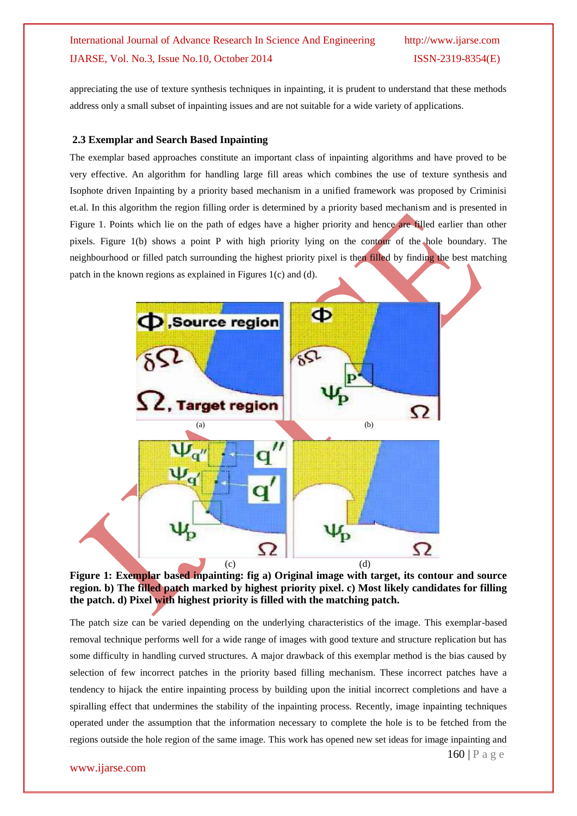appreciating the use of texture synthesis techniques in inpainting, it is prudent to understand that these methods address only a small subset of inpainting issues and are not suitable for a wide variety of applications.

#### **2.3 Exemplar and Search Based Inpainting**

The exemplar based approaches constitute an important class of inpainting algorithms and have proved to be very effective. An algorithm for handling large fill areas which combines the use of texture synthesis and Isophote driven Inpainting by a priority based mechanism in a unified framework was proposed by Criminisi et.al. In this algorithm the region filling order is determined by a priority based mechanism and is presented in Figure 1. Points which lie on the path of edges have a higher priority and hence are filled earlier than other pixels. Figure 1(b) shows a point P with high priority lying on the contour of the hole boundary. The neighbourhood or filled patch surrounding the highest priority pixel is then filled by finding the best matching patch in the known regions as explained in Figures 1(c) and (d).



**Figure 1: Exemplar based inpainting: fig a) Original image with target, its contour and source region. b) The filled patch marked by highest priority pixel. c) Most likely candidates for filling the patch. d) Pixel with highest priority is filled with the matching patch.**

The patch size can be varied depending on the underlying characteristics of the image. This exemplar-based removal technique performs well for a wide range of images with good texture and structure replication but has some difficulty in handling curved structures. A major drawback of this exemplar method is the bias caused by selection of few incorrect patches in the priority based filling mechanism. These incorrect patches have a tendency to hijack the entire inpainting process by building upon the initial incorrect completions and have a spiralling effect that undermines the stability of the inpainting process. Recently, image inpainting techniques operated under the assumption that the information necessary to complete the hole is to be fetched from the regions outside the hole region of the same image. This work has opened new set ideas for image inpainting and

160 | P a g e

#### www.ijarse.com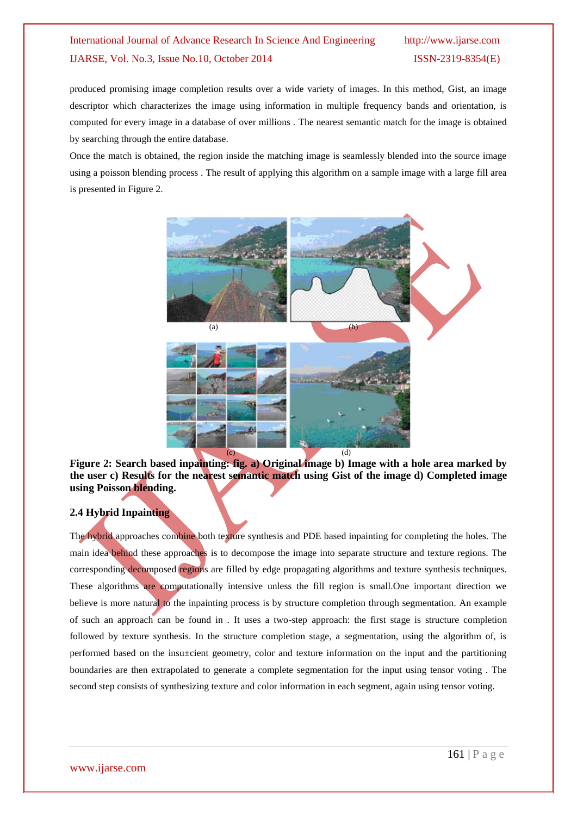produced promising image completion results over a wide variety of images. In this method, Gist, an image descriptor which characterizes the image using information in multiple frequency bands and orientation, is computed for every image in a database of over millions . The nearest semantic match for the image is obtained by searching through the entire database.

Once the match is obtained, the region inside the matching image is seamlessly blended into the source image using a poisson blending process . The result of applying this algorithm on a sample image with a large fill area is presented in Figure 2.



**Figure 2: Search based inpainting: fig. a) Original image b) Image with a hole area marked by the user c) Results for the nearest semantic match using Gist of the image d) Completed image using Poisson blending.**

### **2.4 Hybrid Inpainting**

The hybrid approaches combine both texture synthesis and PDE based inpainting for completing the holes. The main idea behind these approaches is to decompose the image into separate structure and texture regions. The corresponding decomposed regions are filled by edge propagating algorithms and texture synthesis techniques. These algorithms are computationally intensive unless the fill region is small.One important direction we believe is more natural to the inpainting process is by structure completion through segmentation. An example of such an approach can be found in . It uses a two-step approach: the first stage is structure completion followed by texture synthesis. In the structure completion stage, a segmentation, using the algorithm of, is performed based on the insu±cient geometry, color and texture information on the input and the partitioning boundaries are then extrapolated to generate a complete segmentation for the input using tensor voting . The second step consists of synthesizing texture and color information in each segment, again using tensor voting.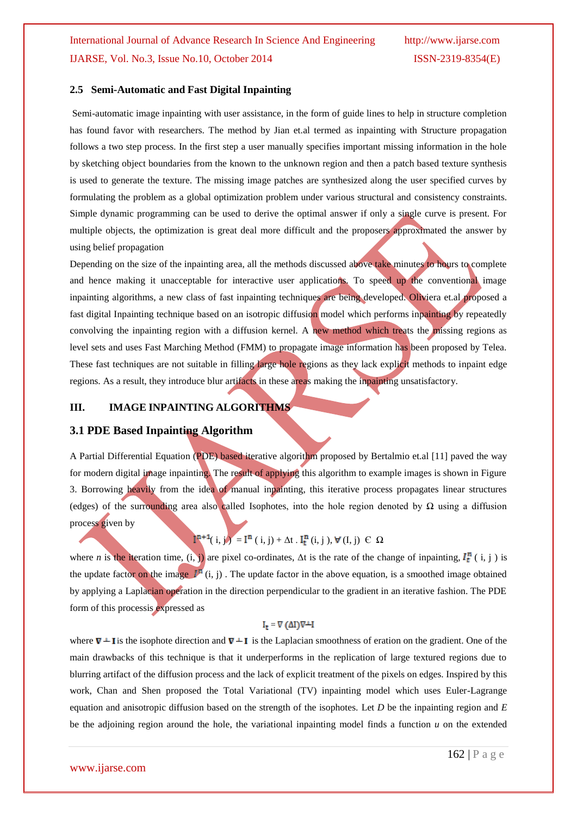#### **2.5 Semi-Automatic and Fast Digital Inpainting**

Semi-automatic image inpainting with user assistance, in the form of guide lines to help in structure completion has found favor with researchers. The method by Jian et.al termed as inpainting with Structure propagation follows a two step process. In the first step a user manually specifies important missing information in the hole by sketching object boundaries from the known to the unknown region and then a patch based texture synthesis is used to generate the texture. The missing image patches are synthesized along the user specified curves by formulating the problem as a global optimization problem under various structural and consistency constraints. Simple dynamic programming can be used to derive the optimal answer if only a single curve is present. For multiple objects, the optimization is great deal more difficult and the proposers approximated the answer by using belief propagation

Depending on the size of the inpainting area, all the methods discussed above take minutes to hours to complete and hence making it unacceptable for interactive user applications. To speed up the conventional image inpainting algorithms, a new class of fast inpainting techniques are being developed. Oliviera et.al proposed a fast digital Inpainting technique based on an isotropic diffusion model which performs inpainting by repeatedly convolving the inpainting region with a diffusion kernel. A new method which treats the missing regions as level sets and uses Fast Marching Method (FMM) to propagate image information has been proposed by Telea. These fast techniques are not suitable in filling large hole regions as they lack explicit methods to inpaint edge regions. As a result, they introduce blur artifacts in these areas making the inpainting unsatisfactory.

#### **III. IMAGE INPAINTING ALGORITHMS**

#### **3.1 PDE Based Inpainting Algorithm**

A Partial Differential Equation (PDE) based iterative algorithm proposed by Bertalmio et.al [11] paved the way for modern digital image inpainting. The result of applying this algorithm to example images is shown in Figure 3. Borrowing heavily from the idea of manual inpainting, this iterative process propagates linear structures (edges) of the surrounding area also called Isophotes, into the hole region denoted by  $\Omega$  using a diffusion process given by

# $\left( \prod_{i=1}^{n} (i, j) \right) = I^{n} (i, j) + \Delta t \cdot I_{t}^{n} (i, j), \forall (I, j) \in \Omega$

where *n* is the iteration time, (i, j) are pixel co-ordinates,  $\Delta t$  is the rate of the change of inpainting,  $I_t^n$  (i, j) is the update factor on the image  $J^{\pi}(i, j)$ . The update factor in the above equation, is a smoothed image obtained by applying a Laplacian operation in the direction perpendicular to the gradient in an iterative fashion. The PDE form of this processis expressed as

#### $I_+ = \nabla (\Delta I) \nabla + I$

where  $\nabla$  + I is the isophote direction and  $\nabla$  + I is the Laplacian smoothness of eration on the gradient. One of the main drawbacks of this technique is that it underperforms in the replication of large textured regions due to blurring artifact of the diffusion process and the lack of explicit treatment of the pixels on edges. Inspired by this work, Chan and Shen proposed the Total Variational (TV) inpainting model which uses Euler-Lagrange equation and anisotropic diffusion based on the strength of the isophotes. Let *D* be the inpainting region and *E*  be the adjoining region around the hole, the variational inpainting model finds a function *u* on the extended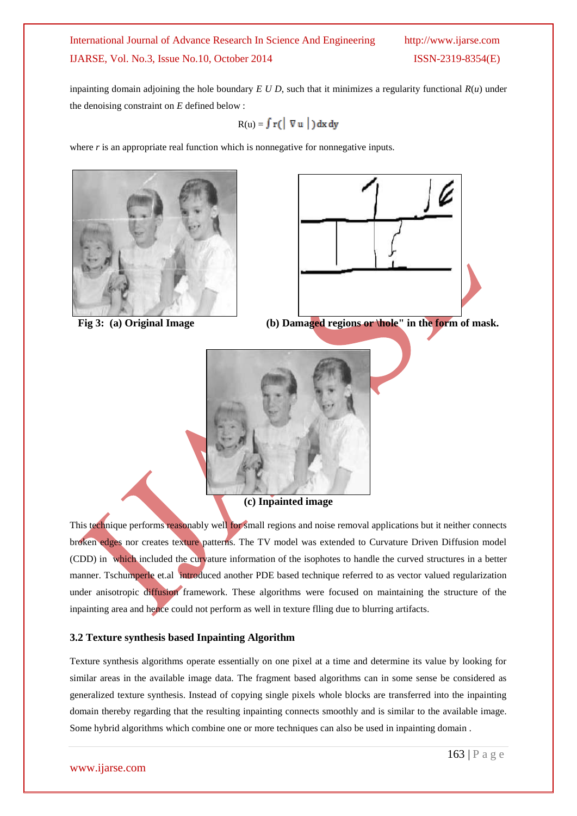inpainting domain adjoining the hole boundary  $E U D$ , such that it minimizes a regularity functional  $R(u)$  under the denoising constraint on *E* defined below :

$$
R(u) = \int r(\mid \nabla u \mid) dx dy
$$

where *r* is an appropriate real function which is nonnegative for nonnegative inputs.





**Fig 3: (a) Original Image (b) Damaged regions or \hole" in the form of mask.**



**(c) Inpainted image**

This technique performs reasonably well for small regions and noise removal applications but it neither connects broken edges nor creates texture patterns. The TV model was extended to Curvature Driven Diffusion model (CDD) in which included the curvature information of the isophotes to handle the curved structures in a better manner. Tschumperle et.al introduced another PDE based technique referred to as vector valued regularization under anisotropic diffusion framework. These algorithms were focused on maintaining the structure of the inpainting area and hence could not perform as well in texture flling due to blurring artifacts.

#### **3.2 Texture synthesis based Inpainting Algorithm**

Texture synthesis algorithms operate essentially on one pixel at a time and determine its value by looking for similar areas in the available image data. The fragment based algorithms can in some sense be considered as generalized texture synthesis. Instead of copying single pixels whole blocks are transferred into the inpainting domain thereby regarding that the resulting inpainting connects smoothly and is similar to the available image. Some hybrid algorithms which combine one or more techniques can also be used in inpainting domain .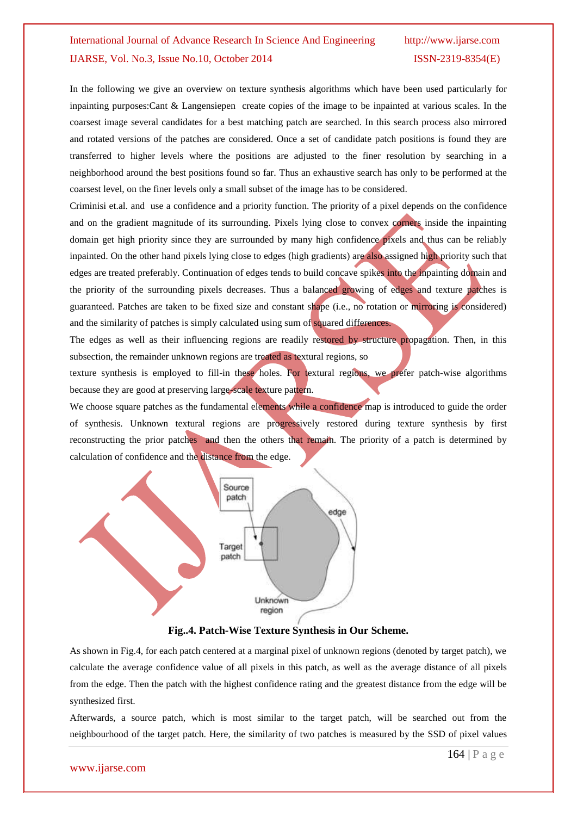In the following we give an overview on texture synthesis algorithms which have been used particularly for inpainting purposes:Cant & Langensiepen create copies of the image to be inpainted at various scales. In the coarsest image several candidates for a best matching patch are searched. In this search process also mirrored and rotated versions of the patches are considered. Once a set of candidate patch positions is found they are transferred to higher levels where the positions are adjusted to the finer resolution by searching in a neighborhood around the best positions found so far. Thus an exhaustive search has only to be performed at the coarsest level, on the finer levels only a small subset of the image has to be considered.

Criminisi et.al. and use a confidence and a priority function. The priority of a pixel depends on the confidence and on the gradient magnitude of its surrounding. Pixels lying close to convex corners inside the inpainting domain get high priority since they are surrounded by many high confidence pixels and thus can be reliably inpainted. On the other hand pixels lying close to edges (high gradients) are also assigned high priority such that edges are treated preferably. Continuation of edges tends to build concave spikes into the inpainting domain and the priority of the surrounding pixels decreases. Thus a balanced growing of edges and texture patches is guaranteed. Patches are taken to be fixed size and constant shape (i.e., no rotation or mirroring is considered) and the similarity of patches is simply calculated using sum of squared differences.

The edges as well as their influencing regions are readily restored by structure propagation. Then, in this subsection, the remainder unknown regions are treated as textural regions, so

texture synthesis is employed to fill-in these holes. For textural regions, we prefer patch-wise algorithms because they are good at preserving large-scale texture pattern.

We choose square patches as the fundamental elements while a confidence map is introduced to guide the order of synthesis. Unknown textural regions are progressively restored during texture synthesis by first reconstructing the prior patches and then the others that remain. The priority of a patch is determined by calculation of confidence and the distance from the edge.



**Fig..4. Patch-Wise Texture Synthesis in Our Scheme.**

As shown in Fig.4, for each patch centered at a marginal pixel of unknown regions (denoted by target patch), we calculate the average confidence value of all pixels in this patch, as well as the average distance of all pixels from the edge. Then the patch with the highest confidence rating and the greatest distance from the edge will be synthesized first.

Afterwards, a source patch, which is most similar to the target patch, will be searched out from the neighbourhood of the target patch. Here, the similarity of two patches is measured by the SSD of pixel values

#### www.ijarse.com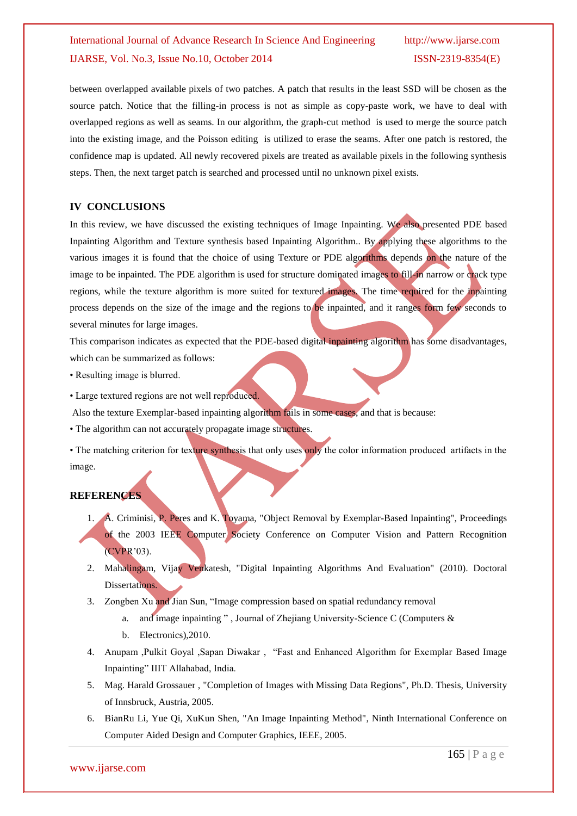between overlapped available pixels of two patches. A patch that results in the least SSD will be chosen as the source patch. Notice that the filling-in process is not as simple as copy-paste work, we have to deal with overlapped regions as well as seams. In our algorithm, the graph-cut method is used to merge the source patch into the existing image, and the Poisson editing is utilized to erase the seams. After one patch is restored, the confidence map is updated. All newly recovered pixels are treated as available pixels in the following synthesis steps. Then, the next target patch is searched and processed until no unknown pixel exists.

#### **IV CONCLUSIONS**

In this review, we have discussed the existing techniques of Image Inpainting. We also presented PDE based Inpainting Algorithm and Texture synthesis based Inpainting Algorithm.. By applying these algorithms to the various images it is found that the choice of using Texture or PDE algorithms depends on the nature of the image to be inpainted. The PDE algorithm is used for structure dominated images to fill-in narrow or crack type regions, while the texture algorithm is more suited for textured images. The time required for the inpainting process depends on the size of the image and the regions to be inpainted, and it ranges form few seconds to several minutes for large images.

This comparison indicates as expected that the PDE-based digital inpainting algorithm has some disadvantages, which can be summarized as follows:

• Resulting image is blurred.

• Large textured regions are not well reproduced.

Also the texture Exemplar-based inpainting algorithm fails in some cases, and that is because:

• The algorithm can not accurately propagate image structures.

• The matching criterion for texture synthesis that only uses only the color information produced artifacts in the image.

### **REFERENCES**

- 1. A. Criminisi, P. Peres and K. Toyama, "Object Removal by Exemplar-Based Inpainting", Proceedings of the 2003 IEEE Computer Society Conference on Computer Vision and Pattern Recognition (CVPR'03).
- 2. Mahalingam, Vijay Venkatesh, "Digital Inpainting Algorithms And Evaluation" (2010). Doctoral Dissertations.
- 3. Zongben Xu and Jian Sun, "Image compression based on spatial redundancy removal
	- a. and image inpainting " , Journal of Zhejiang University-Science C (Computers &
	- b. Electronics),2010.
- 4. Anupam ,Pulkit Goyal ,Sapan Diwakar , "Fast and Enhanced Algorithm for Exemplar Based Image Inpainting" IIIT Allahabad, India.
- 5. Mag. Harald Grossauer , "Completion of Images with Missing Data Regions", Ph.D. Thesis, University of Innsbruck, Austria, 2005.
- 6. BianRu Li, Yue Qi, XuKun Shen, "An Image Inpainting Method", Ninth International Conference on Computer Aided Design and Computer Graphics, IEEE, 2005.